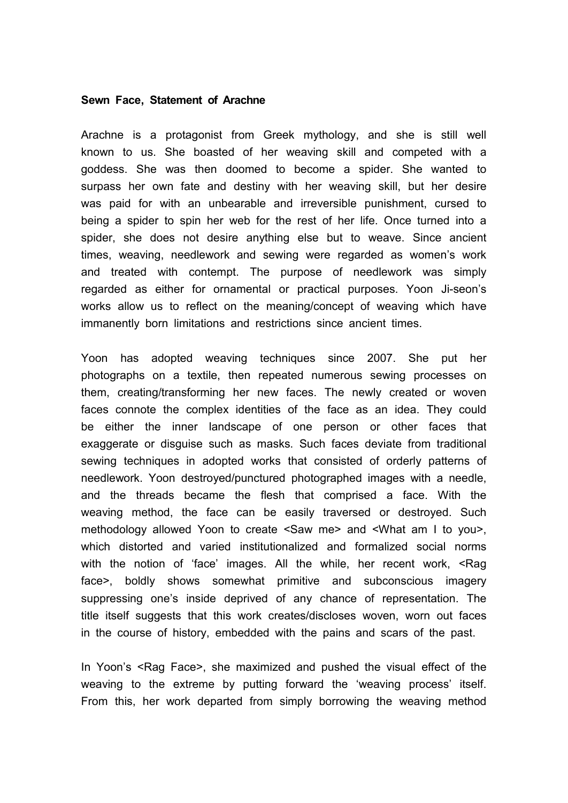## **Sewn Face, Statement of Arachne**

Arachne is a protagonist from Greek mythology, and she is still well known to us. She boasted of her weaving skill and competed with a goddess. She was then doomed to become a spider. She wanted to surpass her own fate and destiny with her weaving skill, but her desire was paid for with an unbearable and irreversible punishment, cursed to being a spider to spin her web for the rest of her life. Once turned into a spider, she does not desire anything else but to weave. Since ancient times, weaving, needlework and sewing were regarded as women's work and treated with contempt. The purpose of needlework was simply regarded as either for ornamental or practical purposes. Yoon Ji-seon's works allow us to reflect on the meaning/concept of weaving which have immanently born limitations and restrictions since ancient times.

Yoon has adopted weaving techniques since 2007. She put her photographs on a textile, then repeated numerous sewing processes on them, creating/transforming her new faces. The newly created or woven faces connote the complex identities of the face as an idea. They could be either the inner landscape of one person or other faces that exaggerate or disguise such as masks. Such faces deviate from traditional sewing techniques in adopted works that consisted of orderly patterns of needlework. Yoon destroyed/punctured photographed images with a needle, and the threads became the flesh that comprised a face. With the weaving method, the face can be easily traversed or destroyed. Such methodology allowed Yoon to create <Saw me> and <What am I to you>, which distorted and varied institutionalized and formalized social norms with the notion of 'face' images. All the while, her recent work, <Rag face>, boldly shows somewhat primitive and subconscious imagery suppressing one's inside deprived of any chance of representation. The title itself suggests that this work creates/discloses woven, worn out faces in the course of history, embedded with the pains and scars of the past.

In Yoon's <Rag Face>, she maximized and pushed the visual effect of the weaving to the extreme by putting forward the 'weaving process' itself. From this, her work departed from simply borrowing the weaving method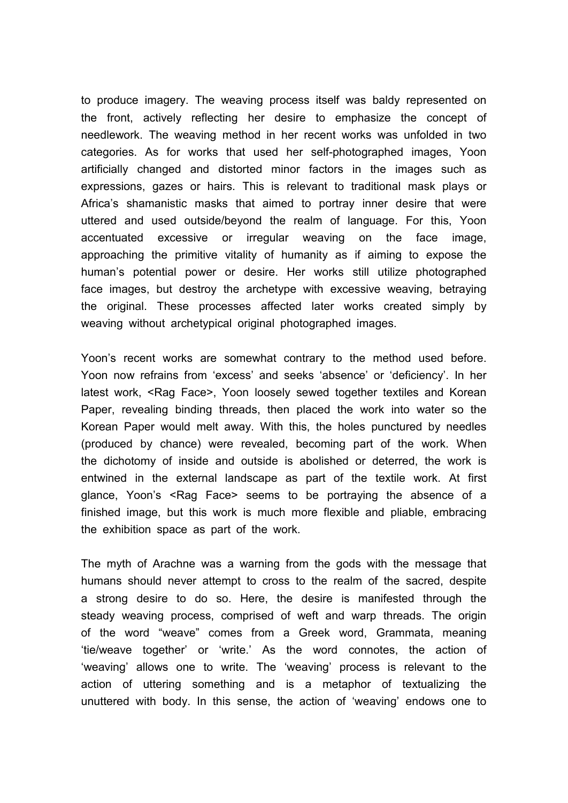to produce imagery. The weaving process itself was baldy represented on the front, actively reflecting her desire to emphasize the concept of needlework. The weaving method in her recent works was unfolded in two categories. As for works that used her self-photographed images, Yoon artificially changed and distorted minor factors in the images such as expressions, gazes or hairs. This is relevant to traditional mask plays or Africa's shamanistic masks that aimed to portray inner desire that were uttered and used outside/beyond the realm of language. For this, Yoon accentuated excessive or irregular weaving on the face image, approaching the primitive vitality of humanity as if aiming to expose the human's potential power or desire. Her works still utilize photographed face images, but destroy the archetype with excessive weaving, betraying the original. These processes affected later works created simply by weaving without archetypical original photographed images.

Yoon's recent works are somewhat contrary to the method used before. Yoon now refrains from 'excess' and seeks 'absence' or 'deficiency'. In her latest work, <Rag Face>, Yoon loosely sewed together textiles and Korean Paper, revealing binding threads, then placed the work into water so the Korean Paper would melt away. With this, the holes punctured by needles (produced by chance) were revealed, becoming part of the work. When the dichotomy of inside and outside is abolished or deterred, the work is entwined in the external landscape as part of the textile work. At first glance, Yoon's <Rag Face> seems to be portraying the absence of a finished image, but this work is much more flexible and pliable, embracing the exhibition space as part of the work.

The myth of Arachne was a warning from the gods with the message that humans should never attempt to cross to the realm of the sacred, despite a strong desire to do so. Here, the desire is manifested through the steady weaving process, comprised of weft and warp threads. The origin of the word "weave" comes from a Greek word, Grammata, meaning 'tie/weave together' or 'write.' As the word connotes, the action of 'weaving' allows one to write. The 'weaving' process is relevant to the action of uttering something and is a metaphor of textualizing the unuttered with body. In this sense, the action of 'weaving' endows one to